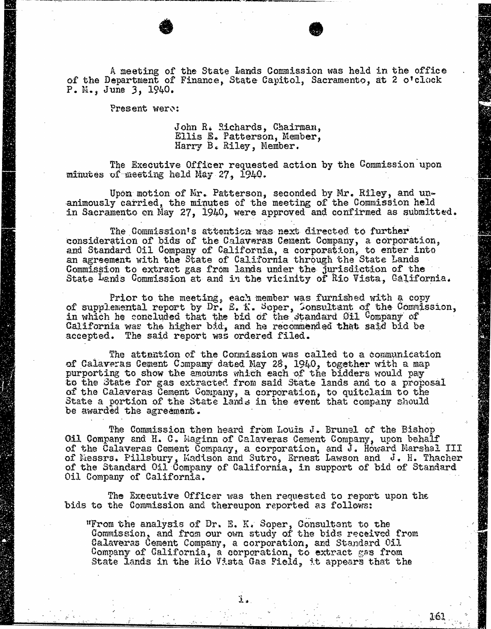A meeting of the State Lands Commission was held in the office of the Department of Finance, State Capitol, Sacramento, at 2 o'clock P. M., June 3, 1940.

Present were:

John R. Richards, Chairman, Ellis E. Patterson, Member, Harry B. Riley, Member.

The Executive Officer requested action by the Commission upon minutes of meeting held May 27, 1940.

Upon motion of Mr. Patterson, seconded by Mr. Riley, and un- animously carried, the minutes of the meeting of the Commission held in Sacramento on May 27, 1940, were approved and confirmed as submitted.

The Commission's attention was next directed to further consideration of bids of the Calaveras Cement Company, a corporation, and Standard Oil Company of California, a corporation, to enter an agreement with the State of California through the State Commission to extract gas from lands under the jurisdiction of the function of the theory State Lands Commission at and in the vicinity of Rio Vista, California.

Prior to the meeting, each member was furnished with a complemental report by Dr. E. K. Seper, Consultant of the Comm in which he concluded that the bid of the standard Oil California was the higher bid, and he recommended that said accepted. The said report was orde

The attention of the Commission was called to a communication of Calaveras Cement Company dated May 28, 1940, together with purporting to show the amounts which each of the bidde to the State for gas extracted from said State lands and t of the Calaveras Cement Company, a corporation, to quitclaim to the State a portion of the State lands in the event that company should be awarded the agreement.

The Commission then heard from Louis J. Brunel of the Bishop Oil Company and H. C. Maginn of Calaveras Cement Company, upon behalf of the Calaveras Cement Company, a corporation, and J. Howard Marshal III of Nessrs. Pillsbury, Madison and Sutro, Ernest Lawson and J. of the Standard Oil Company of California, in support of bid of Sta<br>Oil Company of California Oil Company of California.

The Executive Officer was then requested to report upon the bids to the Commission and thereupon reported as follows:

"From the analysis of Dr. E. K. Soper, Consult  $\mathfrak{Commission}_2$  and from our own study of the bids recei Calaveras Cement Company, a corporation, and Standard Oil Company of California, a corporation, to extract gas from State lands in the Rio Vista Gas Field, it appears that the

161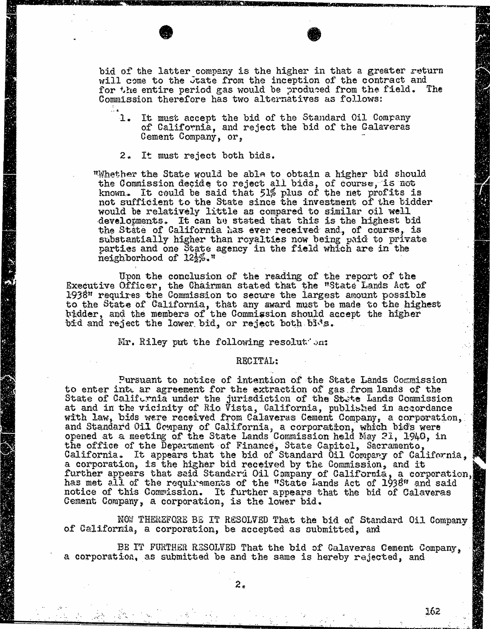bid of the latter company is the higher in that a greater return will come to the Juate from the inception of the contract and for the entire period gas would be produced from the field. The Commission therefore has two alternatives as follows:

- 1. It must accept the bid of the Standard Oil Company of California, and reject the bid of the Calaveras Cement Company, or,
- 2. It must reject both bids.

"Whether the State would be able to obtain a higher bid should the Commission decide to reject all bids, of course, is not known. It could be said that 51% plus of the net profits is not sufficient to the State since the investment of the bidder would be relatively little as compared to similar oil well developments. It can be stated that this is the h the State of California has ever received and, of co substantially higher than royalties now being paid to private parties and one State agency in the field which are in the  $\text{height}$  of  $12\frac{1}{2}\%$ .

Upon the conclusion of the reading of the report of the Executive Officer, the Chairman stated that the "State Lands Act of 1938" requires the Commission to secure the largest amount possible to the State of California, that any award must be made to the higder, and the members of the Commission should accept bid and reject the lower bid, or reject both bids.

Mr. Riley put the following resolution:

## RECITAL:

Pursuant to notice of intention of the State Lands Commission<br>to enter inte ar agreement for the extraction of gas from lands of the to enter into ar agreement for the extraction of gas. from State of California under the jurisdiction of the State Lands Commission of the State Lands at and in the vicinity of Rio Vista, California, published in accordance in accordance in accordance in accordance with law, bids were received from Calaveras Cement Company, a corporation, and Standard Uil Company of California, a corporation, which opened at a meeting of the State Lands Commission held May 21, the office of the Department of Finance, State Capitol, California. It appears that the bid of Standard Oil Company a corporation, is the higher bid received by the Commission, and it further appears that said Standard Oil Company of California, a has met all of the requirements of the "State Lands Act of I' notice of this Commission. It further appears that the bid of Calaveras Cement Company, a corporation, is the lower bid.

NOW THEREFORE BE IT RESOLVED That the bid of Standard Oil Company of California, a corporation, be accepted as submitted, and

BE IT FURTHER RESOLVED That the bid of Calaveras Cement Company,<br>a corporation, as submitted be and the same is hereby rejected, and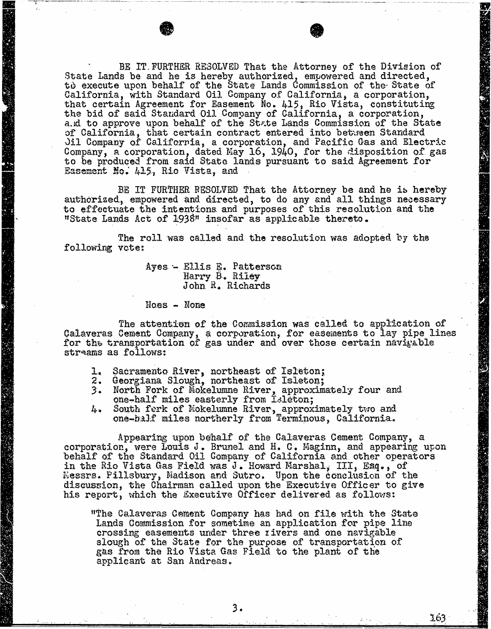BE IT. FURTHER RESOLVED That the Attorney of the Division of<br>State Lands be and he is hereby authorized, empowered and directed, to execute upon behalf of the State Lands Commission of the State of the State of the State of the State of the California, with Standard Oil Company of California, a corporation, that certain Agreement for Easement No. 415, Rio Vista, the bid of said Standard Oil Company of California, a corporation, a.d to approve upon behalf of the State Lands Commission of the State of California, that certain contract entered into between Standard<br>Jil Company of California, a corporation, and Pacific Gas and Electric Jil Company of California, a corporation, and Pacific Gas and Electric Gas and Electric Gas and Electric Gas and Electric Gas and Company of California Company, a corporation, dated May 10, 1940, for the dispose to be produced from said State lands pursuant to said Agreement for Easement No. 415, Rio Vista, and

BE IT FURTHER RESOLVED That the Attorney be and he is hereby authorized, empowered and directed, to do any and all things necessary to effectuate the intentions and purposes of this resolution and the "State Lands Act of 1938" insofar as applicable thereto.

The roll was called and the resolution was adopted by the following vote:

Ayes - Ellis E. Patterson Harry B. Riley John R. Richards

Noes - None

"我"的话,

The attention of the Commission was called to application of Calaveras Cement Company, a corporation, for easements to lay pipe lines for the transportation of gas under and over those certain navigable streams as follows:

- 1. Sacramento River, northeast of Isleton;<br>2. Georgiana Slough, northeast of Isleton;
- 
- 3. North Fork of Mokelumne River, approximately four and one-half miles easterly from Isleton;
- 4. South fork of Mokelumne River, approximately two and one-half miles northerly from Terminous, California.

Appearing upon behalf of the Calaveras Cement Company, a corporation, were Louis J. Brunel and H. C. Maginn, and appearing upon behalf of the Standard Oil Company of California and other operators in the Rio Vista Gas Field was J. Howard Marshal, III, Esq. , of Nessrs. Pillsbury, Madison and Sutro. Upon the conclusion of the discussion, the Chairman called upon the Executive Officer to give his report, which the Executive Officer delivered as follows:

"The Calaveras Cement Company has had on file with the State Lands Commission for sometime an application for pipe line crossing easements under three rivers and one navigable slough of the State for the purpose of transportation of gas from the Rio Vista Gas Field to the plant of the applicant at San Andreas.

163

3.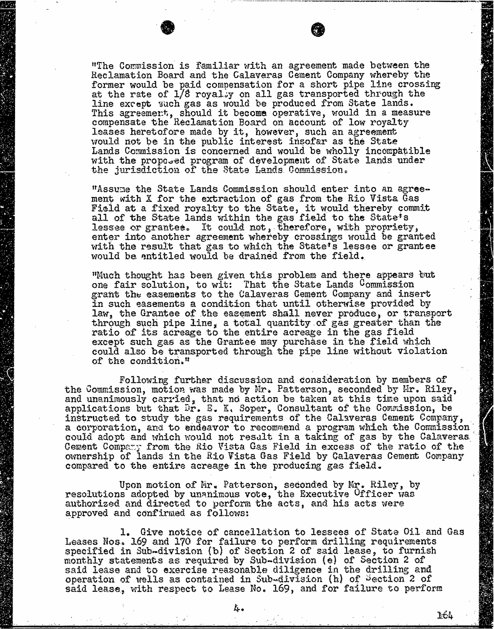"The Commission is familiar with an agreement made between the Reclamation Board and the Calaveras Cement Company whereby the former would be paid compensation for a short pipe line crossing at the rate of 1/8 royally on all gas transported through the line except such gas as would be produced from State lands. This agreement, should it become operative, would in a compensate the Reclamation Board on account of low ro leases heretofore made by it, however, such an agreement would not be in the public interest insofar as the State Lands Commission is concerned and would be wholly incompatible with the proposed program of development of State lands under the jurisdiction of the State Lands Commission

"Assume the State Lands Commission should enter into an agreement with X for the extraction of gas from the Rio Vista Gas Field at a fixed royalty to the State, it would thereby commit all of the State lands within the gas field to the State's lessee or grantee. It could not , therefore, with propriety, enter into another agreement whereby crossings would be granted with the result that gas to which the State's lessee or grantee would be antitled would be drained from the field.

"Much thought has been given this problem and there appears but one fair solution, to wit: That the State Lands Commission grant the easements to the Calaveras Cement Company and insert in such easements a condition that until otherwise provided by law, the Grantee of the easement shall never produce, or transport through such pipe line, a total quantity of gas greater than the ratio of its acreage to the entire acreage in the gas field except such gas as the Grantee may purchase in the field which could also be transported through the pipe line without violation of the condition."

Following further discussion and consideration by members of the Commission, motion was made by Mr. Patterson, seconded by Hir. Riley, and unanimously carried, that no action be taken at this time upon said applications but that Dr. E. K. Soper, Consultant of the Commission, be instructed to study the gas requirements of the Calaveras Cement Company, a corporation, and to endeavor to recommend a program which the Commission could adopt and which would not result in a taking of gas by the Calaveras Cement Company from the Rio Vista Gas Field in excess of the ratio of the ownership of lands in the Rio Vista Gas Field by Calaveras Cement Company compared to the entire acreage in the producing gas field.

Upon motion of Mr. Patterson, seconded by Mr. Riley, by resolutions adopted by unanimous vote, the Executive Officer was authorized and directed to perform the acts, and his acts were approved and confirmed as follows:

1. Give notice of cancellation to lessees of State Oil and Gas Leases Nos. 169 and 170 for failure to perform drilling requirements specified in Sub-division (b) of Section 2 of said lease, to furnish monthly statements as required by Sub-division (e) of Section 2 of said lease and to exercise reasonable diligence in the drilling and operation of wells as contained in Sub-division (h) of Section 2 of said lease, with respect to Lease No. 169, and for failure to perform

164